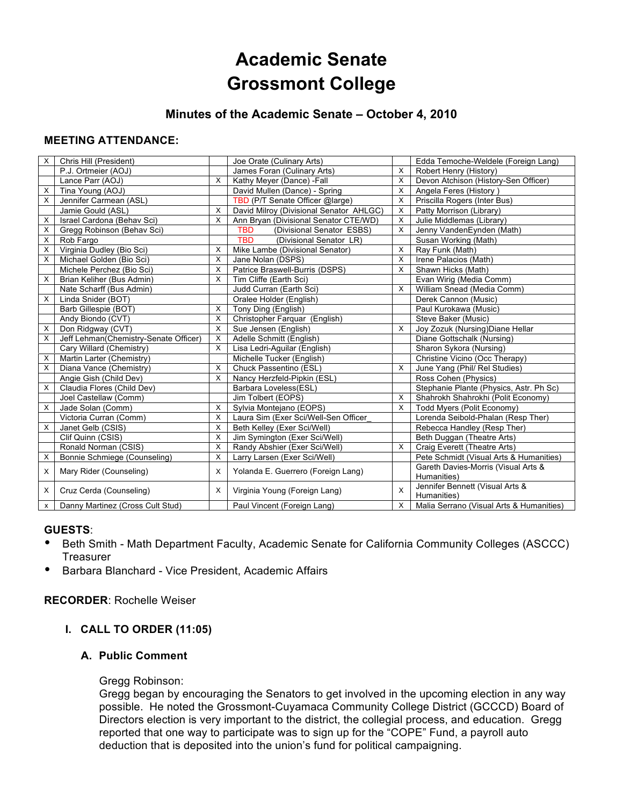# **Academic Senate Grossmont College**

## **Minutes of the Academic Senate – October 4, 2010**

## **MEETING ATTENDANCE:**

| X        | Chris Hill (President)                |              | Joe Orate (Culinary Arts)               |   | Edda Temoche-Weldele (Foreign Lang)      |
|----------|---------------------------------------|--------------|-----------------------------------------|---|------------------------------------------|
|          | P.J. Ortmeier (AOJ)                   |              | James Foran (Culinary Arts)             | X | Robert Henry (History)                   |
|          | Lance Parr (AOJ)                      | $\mathsf{X}$ | Kathy Meyer (Dance) -Fall               | X | Devon Atchison (History-Sen Officer)     |
| X        | Tina Young (AOJ)                      |              | David Mullen (Dance) - Spring           | X | Angela Feres (History)                   |
| X        | Jennifer Carmean (ASL)                |              | TBD (P/T Senate Officer @large)         | X | Priscilla Rogers (Inter Bus)             |
|          | Jamie Gould (ASL)                     | $\times$     | David Milroy (Divisional Senator AHLGC) | X | Patty Morrison (Library)                 |
| X        | Israel Cardona (Behav Sci)            | $\times$     | Ann Bryan (Divisional Senator CTE/WD)   | X | Julie Middlemas (Library)                |
| X        | Gregg Robinson (Behav Sci)            |              | (Divisional Senator ESBS)<br><b>TBD</b> | X | Jenny VandenEynden (Math)                |
| X        | Rob Fargo                             |              | <b>TBD</b><br>(Divisional Senator LR)   |   | Susan Working (Math)                     |
| X        | Virginia Dudley (Bio Sci)             | X            | Mike Lambe (Divisional Senator)         | X | Ray Funk (Math)                          |
| X        | Michael Golden (Bio Sci)              | X            | Jane Nolan (DSPS)                       | X | Irene Palacios (Math)                    |
|          | Michele Perchez (Bio Sci)             | X            | Patrice Braswell-Burris (DSPS)          | X | Shawn Hicks (Math)                       |
| X        | Brian Keliher (Bus Admin)             | $\times$     | Tim Cliffe (Earth Sci)                  |   | Evan Wirig (Media Comm)                  |
|          | Nate Scharff (Bus Admin)              |              | Judd Curran (Earth Sci)                 | X | William Snead (Media Comm)               |
| X        | Linda Snider (BOT)                    |              | Oralee Holder (English)                 |   | Derek Cannon (Music)                     |
|          | Barb Gillespie (BOT)                  | X            | Tony Ding (English)                     |   | Paul Kurokawa (Music)                    |
|          | Andy Biondo (CVT)                     | $\times$     | Christopher Farquar (English)           |   | Steve Baker (Music)                      |
| X        | Don Ridgway (CVT)                     | $\mathsf{X}$ | Sue Jensen (English)                    | X | Joy Zozuk (Nursing) Diane Hellar         |
| X        | Jeff Lehman(Chemistry-Senate Officer) | X            | Adelle Schmitt (English)                |   | Diane Gottschalk (Nursing)               |
|          | Cary Willard (Chemistry)              | $\times$     | Lisa Ledri-Aguilar (English)            |   | Sharon Sykora (Nursing)                  |
| X        | Martin Larter (Chemistry)             |              | Michelle Tucker (English)               |   | Christine Vicino (Occ Therapy)           |
| X        | Diana Vance (Chemistry)               | $\times$     | Chuck Passentino (ESL)                  | X | June Yang (Phil/ Rel Studies)            |
|          | Angie Gish (Child Dev)                | X            | Nancy Herzfeld-Pipkin (ESL)             |   | Ross Cohen (Physics)                     |
| X        | Claudia Flores (Child Dev)            |              | Barbara Loveless(ESL)                   |   | Stephanie Plante (Physics, Astr. Ph Sc)  |
|          | Joel Castellaw (Comm)                 |              | Jim Tolbert (EOPS)                      | X | Shahrokh Shahrokhi (Polit Economy)       |
| X        | Jade Solan (Comm)                     | X            | Sylvia Montejano (EOPS)                 | X | Todd Myers (Polit Economy)               |
|          | Victoria Curran (Comm)                | $\times$     | Laura Sim (Exer Sci/Well-Sen Officer    |   | Lorenda Seibold-Phalan (Resp Ther)       |
| X        | Janet Gelb (CSIS)                     | X            | Beth Kelley (Exer Sci/Well)             |   | Rebecca Handley (Resp Ther)              |
|          | Clif Quinn (CSIS)                     | X            | Jim Symington (Exer Sci/Well)           |   | Beth Duggan (Theatre Arts)               |
|          | Ronald Norman (CSIS)                  | X            | Randy Abshier (Exer Sci/Well)           | X | Craig Everett (Theatre Arts)             |
| X        | Bonnie Schmiege (Counseling)          | $\times$     | Larry Larsen (Exer Sci/Well)            |   | Pete Schmidt (Visual Arts & Humanities)  |
| $\times$ | Mary Rider (Counseling)               | $\times$     | Yolanda E. Guerrero (Foreign Lang)      |   | Gareth Davies-Morris (Visual Arts &      |
|          |                                       |              |                                         |   | Humanities)                              |
| X        | Cruz Cerda (Counseling)               | X            | Virginia Young (Foreign Lang)           | X | Jennifer Bennett (Visual Arts &          |
|          |                                       |              |                                         |   | Humanities)                              |
| X        | Danny Martinez (Cross Cult Stud)      |              | Paul Vincent (Foreign Lang)             | X | Malia Serrano (Visual Arts & Humanities) |

## **GUESTS**:

- Beth Smith Math Department Faculty, Academic Senate for California Community Colleges (ASCCC) **Treasurer**
- Barbara Blanchard Vice President, Academic Affairs

## **RECORDER**: Rochelle Weiser

## **I. CALL TO ORDER (11:05)**

#### **A. Public Comment**

#### Gregg Robinson:

Gregg began by encouraging the Senators to get involved in the upcoming election in any way possible. He noted the Grossmont-Cuyamaca Community College District (GCCCD) Board of Directors election is very important to the district, the collegial process, and education. Gregg reported that one way to participate was to sign up for the "COPE" Fund, a payroll auto deduction that is deposited into the union's fund for political campaigning.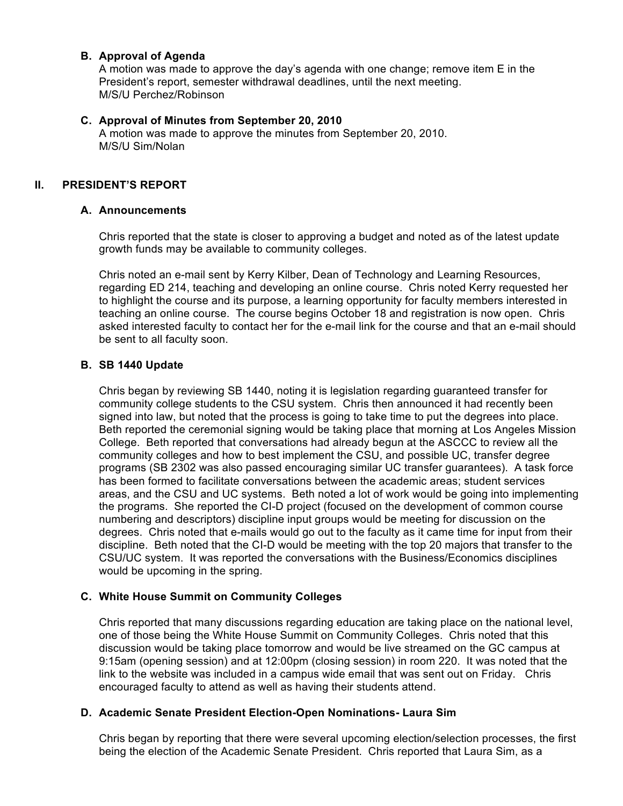#### **B. Approval of Agenda**

A motion was made to approve the day's agenda with one change; remove item E in the President's report, semester withdrawal deadlines, until the next meeting. M/S/U Perchez/Robinson

#### **C. Approval of Minutes from September 20, 2010**

A motion was made to approve the minutes from September 20, 2010. M/S/U Sim/Nolan

#### **II. PRESIDENT'S REPORT**

#### **A. Announcements**

Chris reported that the state is closer to approving a budget and noted as of the latest update growth funds may be available to community colleges.

Chris noted an e-mail sent by Kerry Kilber, Dean of Technology and Learning Resources, regarding ED 214, teaching and developing an online course. Chris noted Kerry requested her to highlight the course and its purpose, a learning opportunity for faculty members interested in teaching an online course. The course begins October 18 and registration is now open. Chris asked interested faculty to contact her for the e-mail link for the course and that an e-mail should be sent to all faculty soon.

#### **B. SB 1440 Update**

Chris began by reviewing SB 1440, noting it is legislation regarding guaranteed transfer for community college students to the CSU system. Chris then announced it had recently been signed into law, but noted that the process is going to take time to put the degrees into place. Beth reported the ceremonial signing would be taking place that morning at Los Angeles Mission College. Beth reported that conversations had already begun at the ASCCC to review all the community colleges and how to best implement the CSU, and possible UC, transfer degree programs (SB 2302 was also passed encouraging similar UC transfer guarantees). A task force has been formed to facilitate conversations between the academic areas; student services areas, and the CSU and UC systems. Beth noted a lot of work would be going into implementing the programs. She reported the CI-D project (focused on the development of common course numbering and descriptors) discipline input groups would be meeting for discussion on the degrees. Chris noted that e-mails would go out to the faculty as it came time for input from their discipline. Beth noted that the CI-D would be meeting with the top 20 majors that transfer to the CSU/UC system. It was reported the conversations with the Business/Economics disciplines would be upcoming in the spring.

## **C. White House Summit on Community Colleges**

Chris reported that many discussions regarding education are taking place on the national level, one of those being the White House Summit on Community Colleges. Chris noted that this discussion would be taking place tomorrow and would be live streamed on the GC campus at 9:15am (opening session) and at 12:00pm (closing session) in room 220. It was noted that the link to the website was included in a campus wide email that was sent out on Friday. Chris encouraged faculty to attend as well as having their students attend.

## **D. Academic Senate President Election-Open Nominations- Laura Sim**

Chris began by reporting that there were several upcoming election/selection processes, the first being the election of the Academic Senate President. Chris reported that Laura Sim, as a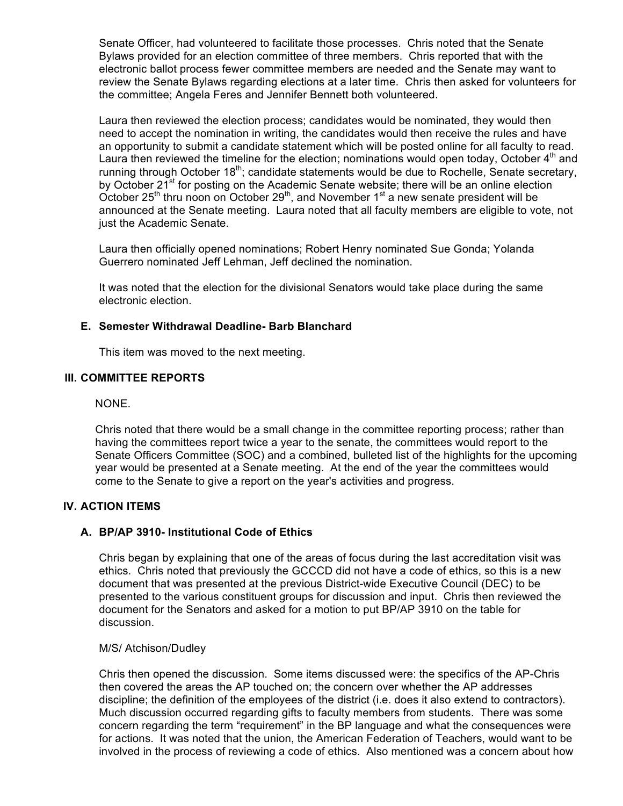Senate Officer, had volunteered to facilitate those processes. Chris noted that the Senate Bylaws provided for an election committee of three members. Chris reported that with the electronic ballot process fewer committee members are needed and the Senate may want to review the Senate Bylaws regarding elections at a later time. Chris then asked for volunteers for the committee; Angela Feres and Jennifer Bennett both volunteered.

Laura then reviewed the election process; candidates would be nominated, they would then need to accept the nomination in writing, the candidates would then receive the rules and have an opportunity to submit a candidate statement which will be posted online for all faculty to read. Laura then reviewed the timeline for the election; nominations would open today, October  $4<sup>th</sup>$  and running through October 18<sup>th</sup>; candidate statements would be due to Rochelle, Senate secretary, by October 21<sup>st</sup> for posting on the Academic Senate website; there will be an online election October 25<sup>th</sup> thru noon on October 29<sup>th</sup>, and November 1<sup>st</sup> a new senate president will be announced at the Senate meeting. Laura noted that all faculty members are eligible to vote, not just the Academic Senate.

Laura then officially opened nominations; Robert Henry nominated Sue Gonda; Yolanda Guerrero nominated Jeff Lehman, Jeff declined the nomination.

It was noted that the election for the divisional Senators would take place during the same electronic election.

## **E. Semester Withdrawal Deadline- Barb Blanchard**

This item was moved to the next meeting.

#### **III. COMMITTEE REPORTS**

NONE.

Chris noted that there would be a small change in the committee reporting process; rather than having the committees report twice a year to the senate, the committees would report to the Senate Officers Committee (SOC) and a combined, bulleted list of the highlights for the upcoming year would be presented at a Senate meeting. At the end of the year the committees would come to the Senate to give a report on the year's activities and progress.

#### **IV. ACTION ITEMS**

#### **A. BP/AP 3910- Institutional Code of Ethics**

Chris began by explaining that one of the areas of focus during the last accreditation visit was ethics. Chris noted that previously the GCCCD did not have a code of ethics, so this is a new document that was presented at the previous District-wide Executive Council (DEC) to be presented to the various constituent groups for discussion and input. Chris then reviewed the document for the Senators and asked for a motion to put BP/AP 3910 on the table for discussion.

#### M/S/ Atchison/Dudley

Chris then opened the discussion. Some items discussed were: the specifics of the AP-Chris then covered the areas the AP touched on; the concern over whether the AP addresses discipline; the definition of the employees of the district (i.e. does it also extend to contractors). Much discussion occurred regarding gifts to faculty members from students. There was some concern regarding the term "requirement" in the BP language and what the consequences were for actions. It was noted that the union, the American Federation of Teachers, would want to be involved in the process of reviewing a code of ethics. Also mentioned was a concern about how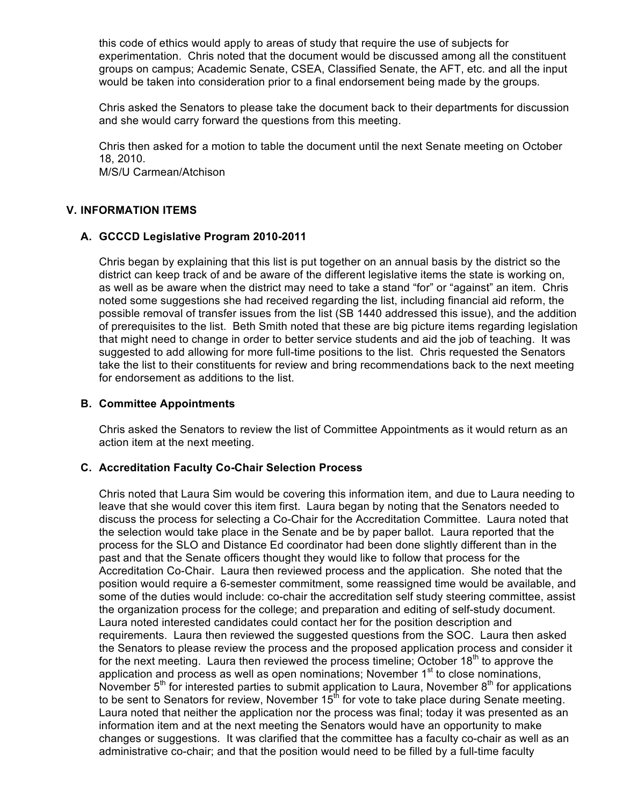this code of ethics would apply to areas of study that require the use of subjects for experimentation. Chris noted that the document would be discussed among all the constituent groups on campus; Academic Senate, CSEA, Classified Senate, the AFT, etc. and all the input would be taken into consideration prior to a final endorsement being made by the groups.

Chris asked the Senators to please take the document back to their departments for discussion and she would carry forward the questions from this meeting.

Chris then asked for a motion to table the document until the next Senate meeting on October 18, 2010.

M/S/U Carmean/Atchison

## **V. INFORMATION ITEMS**

#### **A. GCCCD Legislative Program 2010-2011**

Chris began by explaining that this list is put together on an annual basis by the district so the district can keep track of and be aware of the different legislative items the state is working on, as well as be aware when the district may need to take a stand "for" or "against" an item. Chris noted some suggestions she had received regarding the list, including financial aid reform, the possible removal of transfer issues from the list (SB 1440 addressed this issue), and the addition of prerequisites to the list. Beth Smith noted that these are big picture items regarding legislation that might need to change in order to better service students and aid the job of teaching. It was suggested to add allowing for more full-time positions to the list. Chris requested the Senators take the list to their constituents for review and bring recommendations back to the next meeting for endorsement as additions to the list.

#### **B. Committee Appointments**

Chris asked the Senators to review the list of Committee Appointments as it would return as an action item at the next meeting.

#### **C. Accreditation Faculty Co-Chair Selection Process**

Chris noted that Laura Sim would be covering this information item, and due to Laura needing to leave that she would cover this item first. Laura began by noting that the Senators needed to discuss the process for selecting a Co-Chair for the Accreditation Committee. Laura noted that the selection would take place in the Senate and be by paper ballot. Laura reported that the process for the SLO and Distance Ed coordinator had been done slightly different than in the past and that the Senate officers thought they would like to follow that process for the Accreditation Co-Chair. Laura then reviewed process and the application. She noted that the position would require a 6-semester commitment, some reassigned time would be available, and some of the duties would include: co-chair the accreditation self study steering committee, assist the organization process for the college; and preparation and editing of self-study document. Laura noted interested candidates could contact her for the position description and requirements. Laura then reviewed the suggested questions from the SOC. Laura then asked the Senators to please review the process and the proposed application process and consider it for the next meeting. Laura then reviewed the process timeline; October  $18<sup>th</sup>$  to approve the application and process as well as open nominations; November  $1<sup>st</sup>$  to close nominations, November  $5<sup>th</sup>$  for interested parties to submit application to Laura, November  $8<sup>th</sup>$  for applications to be sent to Senators for review, November  $15<sup>th</sup>$  for vote to take place during Senate meeting. Laura noted that neither the application nor the process was final; today it was presented as an information item and at the next meeting the Senators would have an opportunity to make changes or suggestions. It was clarified that the committee has a faculty co-chair as well as an administrative co-chair; and that the position would need to be filled by a full-time faculty